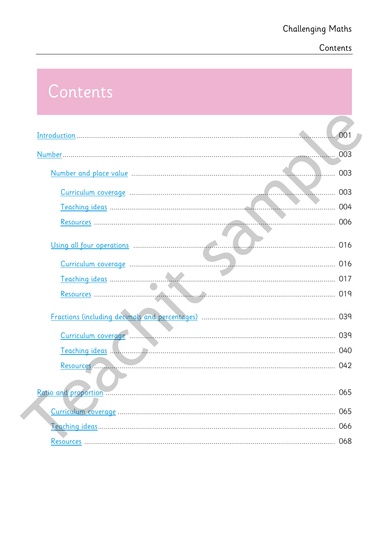# **Challenging Maths**

# Contents

# Contents

| 001 |
|-----|
| 003 |
| 003 |
|     |
|     |
|     |
|     |
|     |
|     |
|     |
|     |
|     |
|     |
|     |
|     |
|     |
|     |
|     |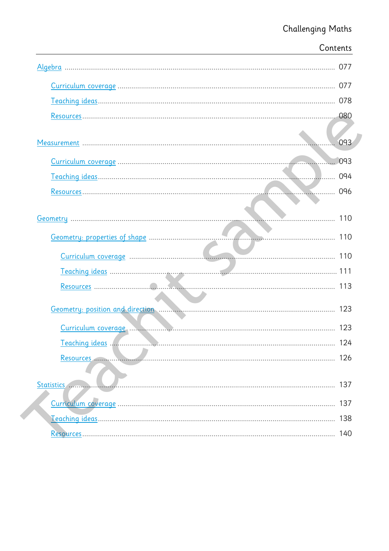| Contents |
|----------|
|          |
|          |
|          |
|          |
| . 093    |
| 093      |
| 094      |
| 096      |
|          |
| 110      |
|          |
|          |
|          |
|          |
| 123      |
| 123      |
| 124      |
| 126      |
| 137      |
| 137      |
| 138      |
| 140      |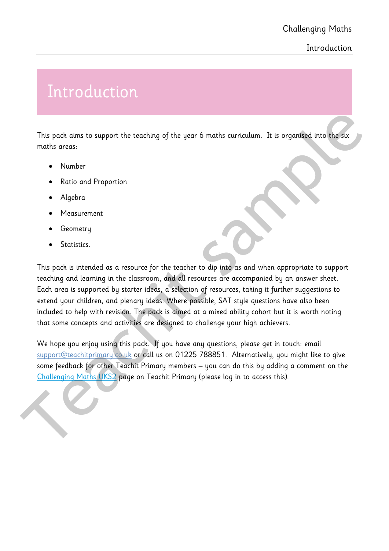### **Introduction**

# Introduction

This pack aims to support the teaching of the year 6 maths curriculum. It is organised into the six maths areas:

- Number
- Ratio and Proportion
- Algebra
- Measurement
- Geometry
- Statistics.

This pack is intended as a resource for the teacher to dip into as and when appropriate to support teaching and learning in the classroom, and all resources are accompanied by an answer sheet. Each area is supported by starter ideas, a selection of resources, taking it further suggestions to extend your children, and plenary ideas. Where possible, SAT style questions have also been included to help with revision. The pack is aimed at a mixed ability cohort but it is worth noting that some concepts and activities are designed to challenge your high achievers. This pack aims to support the teaching of the year 6 maths curriculum. This organised into the six<br>
maths areas:<br>
• Number<br>
• Radio and Proportion<br>
• Algebra<br>
• Measurement<br>
• Geometry<br>
• Statistics.<br>
• This pack is intend

We hope you enjoy using this pack. If you have any questions, please get in touch: email support@teachitprimary.co.uk or call us on 01225 788851. Alternatively, you might like to give some feedback for other Teachit Primary members – you can do this by adding a comment on the Challenging Maths UKS2 page on Teachit Primary (please log in to access this).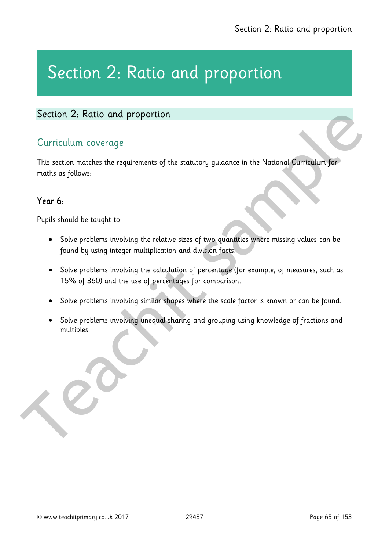# Section 2: Ratio and proportion

## Curriculum coverage

This section matches the requirements of the statutory guidance in the National Curriculum for maths as follows: Section 2: Ratio and proportion<br>
Curriculum coverage<br>
This section mathes the requirements of the statutory guidance in the National Curriculum for<br>
The section mathes the requirements of the statutory guidance in the Nati

## Year 6:

Pupils should be taught to:

- Solve problems involving the relative sizes of two quantities where missing values can be found by using integer multiplication and division facts.
- Solve problems involving the calculation of percentage (for example, of measures, such as 15% of 360) and the use of percentages for comparison.
- Solve problems involving similar shapes where the scale factor is known or can be found.
- Solve problems involving unequal sharing and grouping using knowledge of fractions and multiples.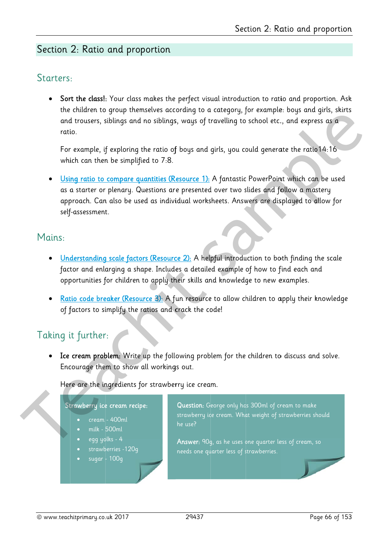## Starters:

• Sort the class!: Your class makes the perfect visual introduction to ratio and proportion. Ask the children to group themselves according to a category, for example: boys and girls, skirts and trousers, siblings and no siblings, ways of travelling to school etc., and express as a ratio.

For example, if exploring the ratio of boys and girls, you could generate the ratio 14:16 which can then be simplified to 7:8.

Using ratio to compare quantities (Resource 1): A fantastic PowerPoint which can be used as a starter or plenary. Questions are presented over two slides and follow a mastery approach. Can also be used as individual worksheets. Answers are displayed to allow for self-assessment.

## Mains:

- Understanding scale factors (Resource 2): A helpful introduction to both finding the scale factor and enlarging a shape. Includes a detailed example of how to find each and opportunities for children to apply their skills and knowledge to new examples.
- Ratio code breaker (Resource 3): A fun resource to allow children to apply their knowledge of factors to simplify the ratios and crack the code!

# Taking it further:

Ice cream problem: Write up the following problem for the children to discuss and solve.  $\bullet$ Encourage them to show all workings out.

Here are the ingredients for strawberry ice cream.

#### Strawberry ice cream recipe:

- cream 400ml
- milk 500ml
- egg yolks 4
- strawberries -120q
- sugar 100g

Question: George only has 300ml of cream to make strawberry ice cream. What weight of strawberries should he use?

Answer: 90g, as he uses one quarter less of cream, so needs one quarter less of strawberries.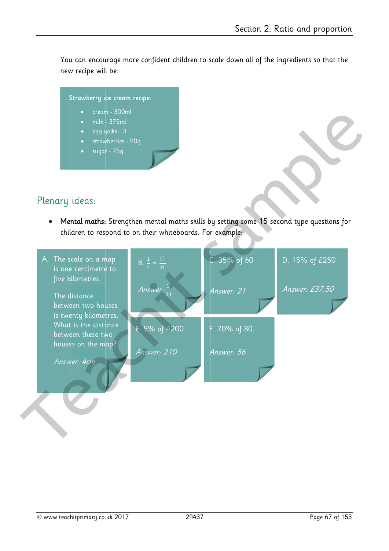You can encourage more confident children to scale down all of the ingredients so that the new recipe will be:

#### Strawberry ice cream recipe:

- cream 300ml
- milk 375ml
- egg yolks 3
- strawberries 90q
- sugar 75g

# Plenary ideas:

Mental maths: Strengthen mental maths skills by setting some 15 second type questions for  $\bullet$ children to respond to on their whiteboards. For example:

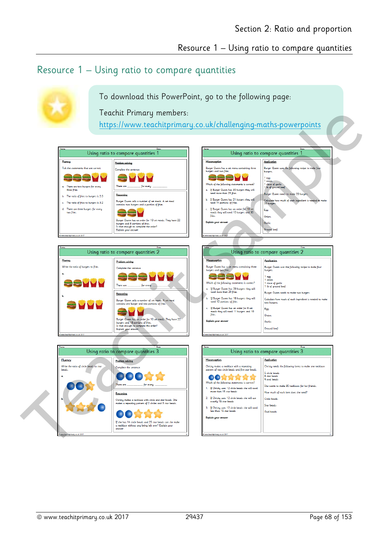## Resource 1 – Using ratio to compare quantities



To download this PowerPoint, go to the following page:

Teachit Primary members:

https://www.teachitprimary.co.uk/challenging-maths-powerpoints

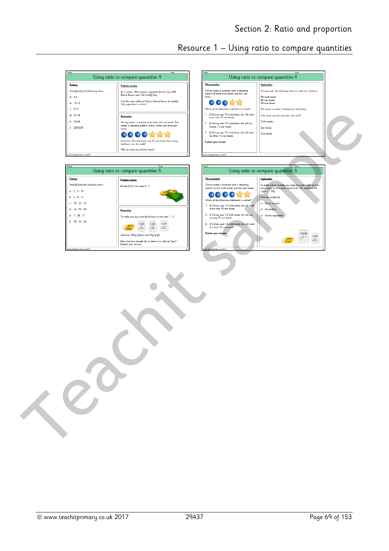Christy needs the following items to make ten necklace

Resource 1 – Using ratio to compare quantities

Using ratio to compare quantities 4

App





| Nome.                                | Date:                                                                           |
|--------------------------------------|---------------------------------------------------------------------------------|
|                                      | Using ratio to compare quantities 5                                             |
| Fluency                              | Problem solving                                                                 |
| Simplify fully the following ratios: | Divide £72 in the ratio 5 : 4                                                   |
| a) 2.4.10                            |                                                                                 |
| b) 4.8.14                            |                                                                                 |
| $d = 10.20.25$                       |                                                                                 |
| $d)$ 16 : 20 : 36                    | Reasoning                                                                       |
| $-1$ 7.28.77                         | To make suet you need fat to flour in the ratio 1:3                             |
| 28.35.56<br>Đ                        | <b>FLOUR</b><br><b>FLOUR</b><br><b>FLOUR</b><br>虛<br>â<br>ä<br>Butte            |
|                                      | Jane has 180g of flour and 60g of fat.                                          |
|                                      | Does she have enough fat so there is no leftover flour?<br>Explain your answer. |
| C www.teachtprimary.co.uk 2017       | n                                                                               |

| Misconception                                                                                                                                                                                                                                                                                                                                                                             | <b>Application</b>                                                                                                                                                                                                                     |
|-------------------------------------------------------------------------------------------------------------------------------------------------------------------------------------------------------------------------------------------------------------------------------------------------------------------------------------------------------------------------------------------|----------------------------------------------------------------------------------------------------------------------------------------------------------------------------------------------------------------------------------------|
| Christy makes a necklace with a repeating<br>pattern of four circle beads and two star beads.<br>Which of the following statements is correct?<br>1. If Christy uses 12 circle beads she will need<br>more than 15 star beads<br>2. If Christy uses 12 circle beads she will use<br>exactly 15 star beads<br>3. If Christy uses 12 circle beads she will need<br>less than 15 star heads. | To make a fruit crumble you need one part butter to two<br>parts sugar to nine parts mixed fruit. The weight of the<br>super is 120a.<br>Find the weight of<br>a) Butter needed<br><b>b)</b> Mixed fruit<br>All the ingredients<br>e). |
| Explain your answer                                                                                                                                                                                                                                                                                                                                                                       | <b>SUGAR</b><br><b>FLOUR</b><br>ð.                                                                                                                                                                                                     |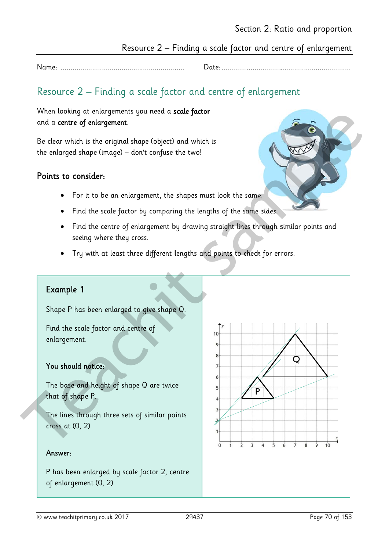## Resource 2 – Finding a scale factor and centre of enlargement

Date:...............

# Resource 2 - Finding a scale factor and centre of enlargement

When looking at enlargements you need a scale factor and a centre of enlargement.

Be clear which is the original shape (object) and which is the enlarged shape (image) - don't confuse the two!

## Points to consider:

- For it to be an enlargement, the shapes must look the same.
- Find the scale factor by comparing the lengths of the same sides.
- Find the centre of enlargement by drawing straight lines through similar points and  $\bullet$ seeing where they cross.
- Try with at least three different lengths and points to check for errors.

## Example 1

Shape P has been enlarged to give shape Q.

Find the scale factor and centre of enlargement.

#### You should notice:

The base and height of shape Q are twice that of shape P.

The lines through three sets of similar points cross at  $(0, 2)$ 

#### Answer:

P has been enlarged by scale factor 2, centre of enlargement (0, 2)

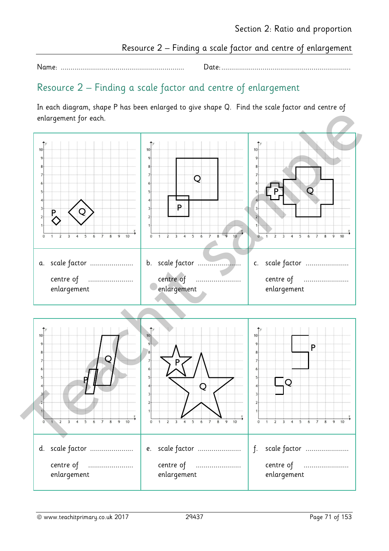Resource 2 – Finding a scale factor and centre of enlargement

Name: ............................................................... Date: ..................................................................

# Resource 2 – Finding a scale factor and centre of enlargement

In each diagram, shape P has been enlarged to give shape Q. Find the scale factor and centre of enlargement for each.

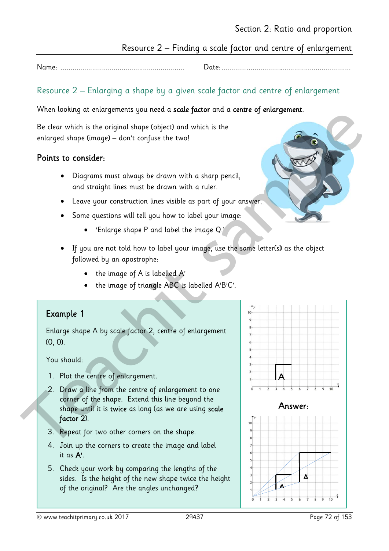## Resource 2 – Finding a scale factor and centre of enlargement

Date:...........................

## Resource 2 – Enlarging a shape by a given scale factor and centre of enlargement

#### When looking at enlargements you need a scale factor and a centre of enlargement.

Be clear which is the original shape (object) and which is the enlarged shape (image) - don't confuse the two!

#### Points to consider:

- Diagrams must always be drawn with a sharp pencil, and straight lines must be drawn with a ruler.
- Leave your construction lines visible as part of your answer.
- Some questions will tell you how to label your image:
	- 'Enlarge shape P and label the image  $Q$ .'
- If you are not told how to label your image, use the same letter(s) as the object followed by an apostrophe:
	- the image of A is labelled A'
	- the image of triangle ABC is labelled A'B'C'.

#### Example 1

Enlarge shape A by scale factor 2, centre of enlargement  $(0, 0)$ .

#### You should:

- 1. Plot the centre of enlargement.
- 2. Draw a line from the centre of enlargement to one corner of the shape. Extend this line beyond the shape until it is twice as long (as we are using scale factor 2).
- 3. Repeat for two other corners on the shape.
- 4. Join up the corners to create the image and label it as  $A'$ .
- 5. Check your work by comparing the lengths of the sides. Is the height of the new shape twice the height of the original? Are the angles unchanged?

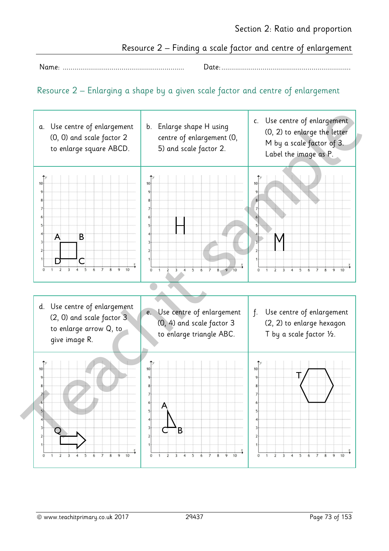Resource 2 – Finding a scale factor and centre of enlargement

Name: .............................................................. Date: ..................................................................

## Resource 2 – Enlarging a shape by a given scale factor and centre of enlargement

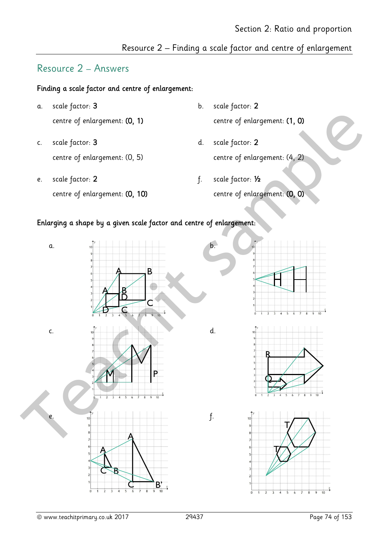# Resource 2 – Answers

#### Finding a scale factor and centre of enlargement:

- a. scale factor: 3 b. scale factor: 2
- c. scale factor: 3 d. scale factor: 2
- e. scale factor: 2 f. scale factor: 1/2
- centre of enlargement: (0, 1) centre of enlargement: (1, 0)
- centre of enlargement: (0, 5) centre of enlargement: (4, 2)
	- centre of enlargement: (0, 10) centre of enlargement: (0, 0)

#### Enlarging a shape by a given scale factor and centre of enlargement:

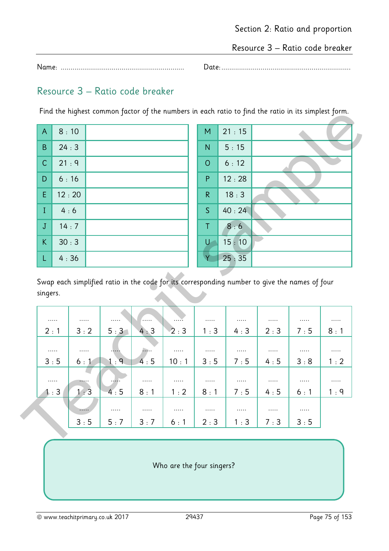Resource 3 – Ratio code breaker

Name: ............................................................... Date: ..................................................................

# Resource 3 – Ratio code breaker

Find the highest common factor of the numbers in each ratio to find the ratio in its simplest form.

| $\overline{\phantom{a}}$ $\overline{\phantom{a}}$ | 8:10  | M              | 21:15 |
|---------------------------------------------------|-------|----------------|-------|
| B                                                 | 24:3  | $\mathsf{N}$   | 5:15  |
| $\mathsf{C}$                                      | 21:9  | $\overline{O}$ | 6:12  |
| D                                                 | 6:16  | P              | 12:28 |
| E                                                 | 12:20 | $\mathsf{R}$   | 18:3  |
| $\mathbf I$                                       | 4:6   | $\mathsf{S}$   | 40:24 |
| $\mathbf J$                                       | 14:7  | T              | 8:6   |
| $\sf K$                                           | 30:3  | U              | 15:10 |
|                                                   | 4:36  |                | 25:35 |

|                |       | each ratio to fina the ratio in its simplest form. |
|----------------|-------|----------------------------------------------------|
| $\overline{M}$ | 21:15 |                                                    |
| $\overline{N}$ | 5:15  |                                                    |
| $\circ$        | 6:12  |                                                    |
| $\mathsf{P}$   | 12:28 |                                                    |
| ${\sf R}$      | 18:3  |                                                    |
| $\mathsf{S}$   | 40:24 |                                                    |
| $\top$         | 8:6   |                                                    |
| U              | 15:10 |                                                    |
|                | 25:35 |                                                    |
|                |       |                                                    |

| .   | .   | .   | .   | $\cdots$ . | .   | .   | .   | .   |     |
|-----|-----|-----|-----|------------|-----|-----|-----|-----|-----|
| 2:1 | 3:2 | 5:3 | 4:3 | 2:3        | 1:3 | 4:3 | 2:3 | 7:5 | 8:1 |
| .   | .   |     | .   | .          | .   | .   | .   | .   | .   |
| 3:5 | 6:1 | 1:9 | 4:5 | 10:1       | 3:5 | 7:5 | 4:5 | 3:8 | 1:2 |
| .   |     | .   | .   | .          | .   | .   | .   |     | .   |
| 1:3 | 1:3 | 4:5 | 8:1 | 1:2        | 8:1 | 7:5 | 4:5 | 6:1 | 1:9 |
|     |     | .   | .   | .          | .   | .   | .   | .   |     |
|     | 3:5 | 5:7 | 3:7 | 6:1        | 2:3 | 1:3 | 7:3 | 3:5 |     |

Who are the four singers?